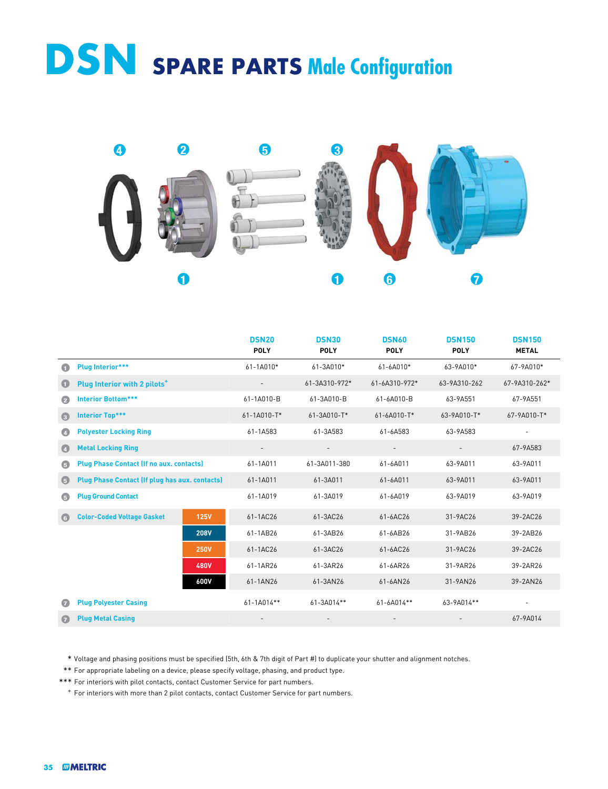## **DSN SPARE PARTS Male Configuration**



|               |                                                 |             | <b>DSN20</b><br><b>POLY</b> | <b>DSN30</b><br><b>POLY</b> | <b>DSN60</b><br><b>POLY</b> | <b>DSN150</b><br><b>POLY</b> | <b>DSN150</b><br><b>METAL</b> |
|---------------|-------------------------------------------------|-------------|-----------------------------|-----------------------------|-----------------------------|------------------------------|-------------------------------|
| O             | <b>Plug Interior***</b>                         |             | $61 - 1A010*$               | 61-3A010*                   | 61-6A010*                   | 63-9A010*                    | 67-9A010*                     |
| O             | Plug Interior with 2 pilots <sup>+</sup>        |             | $\overline{\phantom{a}}$    | 61-3A310-972*               | 61-6A310-972*               | 63-9A310-262                 | 67-9A310-262*                 |
| Ø             | <b>Interior Bottom***</b>                       |             | 61-1A010-B                  | 61-3A010-B                  | 61-6A010-B                  | 63-9A551                     | 67-9A551                      |
| G             | <b>Interior Top***</b>                          |             | 61-1A010-T*                 | 61-3A010-T*                 | 61-6A010-T*                 | 63-9A010-T*                  | 67-9A010-T*                   |
| $\bullet$     | <b>Polyester Locking Ring</b>                   |             | 61-1A583                    | 61-3A583                    | 61-6A583                    | 63-9A583                     | $\overline{\phantom{a}}$      |
| $\bullet$     | <b>Metal Locking Ring</b>                       |             |                             | $\overline{\phantom{a}}$    |                             |                              | 67-9A583                      |
| G             | <b>Plug Phase Contact (If no aux. contacts)</b> |             | 61-1A011                    | 61-3A011-380                | 61-6A011                    | 63-9A011                     | 63-9A011                      |
| $\bigoplus$   | Plug Phase Contact (If plug has aux. contacts)  |             | 61-1A011                    | 61-3A011                    | 61-6A011                    | 63-9A011                     | 63-9A011                      |
| G             | <b>Plug Ground Contact</b>                      |             | 61-1A019                    | 61-3A019                    | 61-6A019                    | 63-9A019                     | 63-9A019                      |
| $\left($ 6    | <b>Color-Coded Voltage Gasket</b>               | <b>125V</b> | 61-1AC26                    | 61-3AC26                    | 61-6AC26                    | 31-9AC26                     | 39-2AC26                      |
|               |                                                 | <b>208V</b> | 61-1AB26                    | 61-3AB26                    | 61-6AB26                    | 31-9AB26                     | 39-2AB26                      |
|               |                                                 | <b>250V</b> | 61-1AC26                    | 61-3AC26                    | 61-6AC26                    | 31-9AC26                     | 39-2AC26                      |
|               |                                                 | <b>480V</b> | 61-1AR26                    | 61-3AR26                    | 61-6AR26                    | 31-9AR26                     | 39-2AR26                      |
|               |                                                 | 600V        | 61-1AN26                    | 61-3AN26                    | 61-6AN26                    | 31-9AN26                     | 39-2AN26                      |
| G             | <b>Plug Polyester Casing</b>                    |             | 61-1A014**                  | 61-3A014**                  | 61-6A014**                  | 63-9A014**                   |                               |
| $\mathcal{G}$ | <b>Plug Metal Casing</b>                        |             |                             |                             |                             |                              | 67-9A014                      |

\* Voltage and phasing positions must be specified (5th, 6th & 7th digit of Part #) to duplicate your shutter and alignment notches.

\*\* For appropriate labeling on a device, please specify voltage, phasing, and product type.

\*\*\* For interiors with pilot contacts, contact Customer Service for part numbers.

<sup>+</sup> For interiors with more than 2 pilot contacts, contact Customer Service for part numbers.